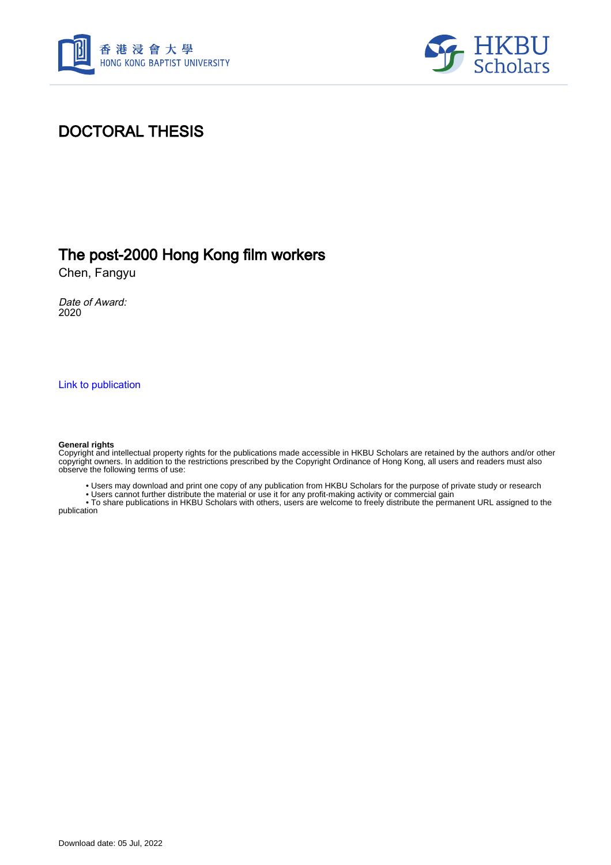



# DOCTORAL THESIS

## The post-2000 Hong Kong film workers

Chen, Fangyu

Date of Award: 2020

[Link to publication](https://scholars.hkbu.edu.hk/en/studentTheses/cb71bd28-37a3-442d-bf52-9d8bac031b89)

#### **General rights**

Copyright and intellectual property rights for the publications made accessible in HKBU Scholars are retained by the authors and/or other copyright owners. In addition to the restrictions prescribed by the Copyright Ordinance of Hong Kong, all users and readers must also observe the following terms of use:

• Users may download and print one copy of any publication from HKBU Scholars for the purpose of private study or research

• Users cannot further distribute the material or use it for any profit-making activity or commercial gain

 • To share publications in HKBU Scholars with others, users are welcome to freely distribute the permanent URL assigned to the publication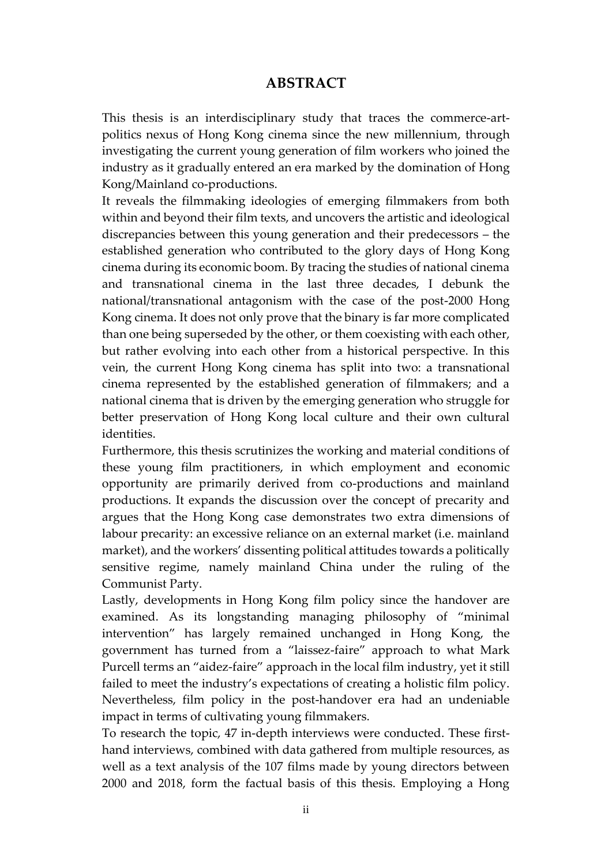### **ABSTRACT**

<span id="page-1-0"></span>This thesis is an interdisciplinary study that traces the commerce-artpolitics nexus of Hong Kong cinema since the new millennium, through investigating the current young generation of film workers who joined the industry as it gradually entered an era marked by the domination of Hong Kong/Mainland co-productions.

It reveals the filmmaking ideologies of emerging filmmakers from both within and beyond their film texts, and uncovers the artistic and ideological discrepancies between this young generation and their predecessors – the established generation who contributed to the glory days of Hong Kong cinema during its economic boom. By tracing the studies of national cinema and transnational cinema in the last three decades, I debunk the national/transnational antagonism with the case of the post-2000 Hong Kong cinema. It does not only prove that the binary is far more complicated than one being superseded by the other, or them coexisting with each other, but rather evolving into each other from a historical perspective. In this vein, the current Hong Kong cinema has split into two: a transnational cinema represented by the established generation of filmmakers; and a national cinema that is driven by the emerging generation who struggle for better preservation of Hong Kong local culture and their own cultural identities.

Furthermore, this thesis scrutinizes the working and material conditions of these young film practitioners, in which employment and economic opportunity are primarily derived from co-productions and mainland productions. It expands the discussion over the concept of precarity and argues that the Hong Kong case demonstrates two extra dimensions of labour precarity: an excessive reliance on an external market (i.e. mainland market), and the workers' dissenting political attitudes towards a politically sensitive regime, namely mainland China under the ruling of the Communist Party.

Lastly, developments in Hong Kong film policy since the handover are examined. As its longstanding managing philosophy of "minimal intervention" has largely remained unchanged in Hong Kong, the government has turned from a "laissez-faire" approach to what Mark Purcell terms an "aidez‐faire" approach in the local film industry, yet it still failed to meet the industry's expectations of creating a holistic film policy. Nevertheless, film policy in the post-handover era had an undeniable impact in terms of cultivating young filmmakers.

To research the topic, 47 in-depth interviews were conducted. These firsthand interviews, combined with data gathered from multiple resources, as well as a text analysis of the 107 films made by young directors between 2000 and 2018, form the factual basis of this thesis. Employing a Hong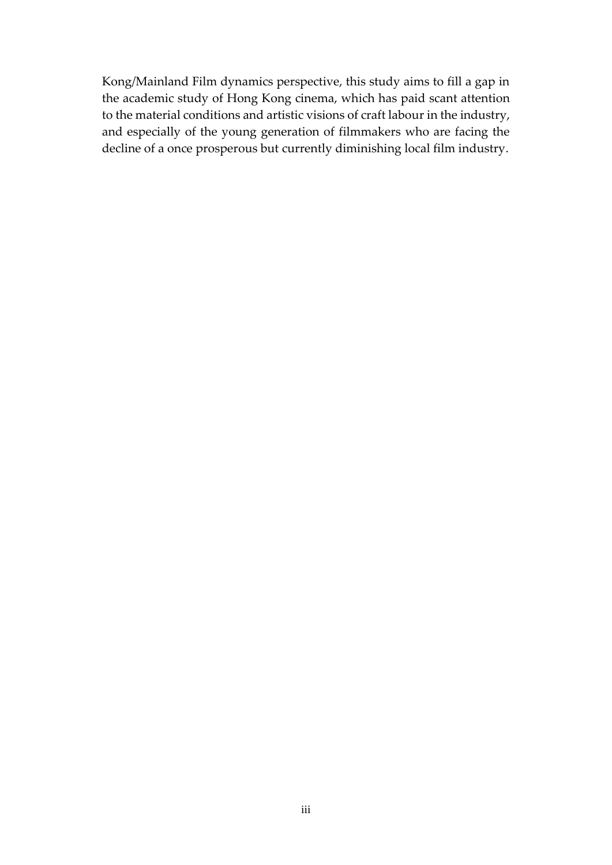Kong/Mainland Film dynamics perspective, this study aims to fill a gap in the academic study of Hong Kong cinema, which has paid scant attention to the material conditions and artistic visions of craft labour in the industry, and especially of the young generation of filmmakers who are facing the decline of a once prosperous but currently diminishing local film industry.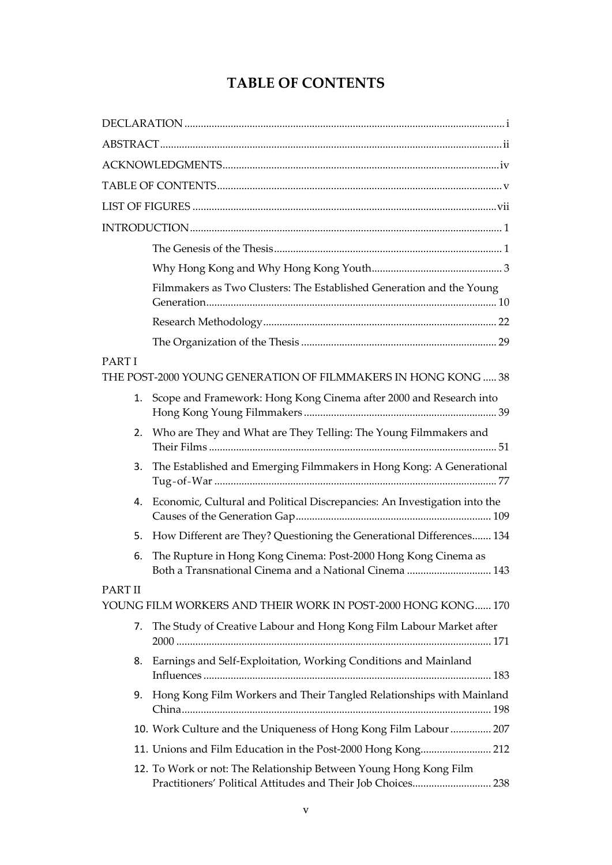## **TABLE OF CONTENTS**

<span id="page-3-0"></span>

|                | Filmmakers as Two Clusters: The Established Generation and the Young                                                              |
|----------------|-----------------------------------------------------------------------------------------------------------------------------------|
|                |                                                                                                                                   |
|                |                                                                                                                                   |
| PART I         | THE POST-2000 YOUNG GENERATION OF FILMMAKERS IN HONG KONG  38                                                                     |
| 1.             | Scope and Framework: Hong Kong Cinema after 2000 and Research into                                                                |
| 2.             | Who are They and What are They Telling: The Young Filmmakers and                                                                  |
| 3.             | The Established and Emerging Filmmakers in Hong Kong: A Generational                                                              |
| 4.             | Economic, Cultural and Political Discrepancies: An Investigation into the                                                         |
| 5.             | How Different are They? Questioning the Generational Differences 134                                                              |
| 6.             | The Rupture in Hong Kong Cinema: Post-2000 Hong Kong Cinema as<br>Both a Transnational Cinema and a National Cinema  143          |
| <b>PART II</b> |                                                                                                                                   |
|                | YOUNG FILM WORKERS AND THEIR WORK IN POST-2000 HONG KONG 170                                                                      |
| 7.             | The Study of Creative Labour and Hong Kong Film Labour Market after                                                               |
| 8.             | Earnings and Self-Exploitation, Working Conditions and Mainland                                                                   |
|                | 9. Hong Kong Film Workers and Their Tangled Relationships with Mainland                                                           |
|                | 10. Work Culture and the Uniqueness of Hong Kong Film Labour  207                                                                 |
|                | 11. Unions and Film Education in the Post-2000 Hong Kong 212                                                                      |
|                | 12. To Work or not: The Relationship Between Young Hong Kong Film<br>Practitioners' Political Attitudes and Their Job Choices 238 |